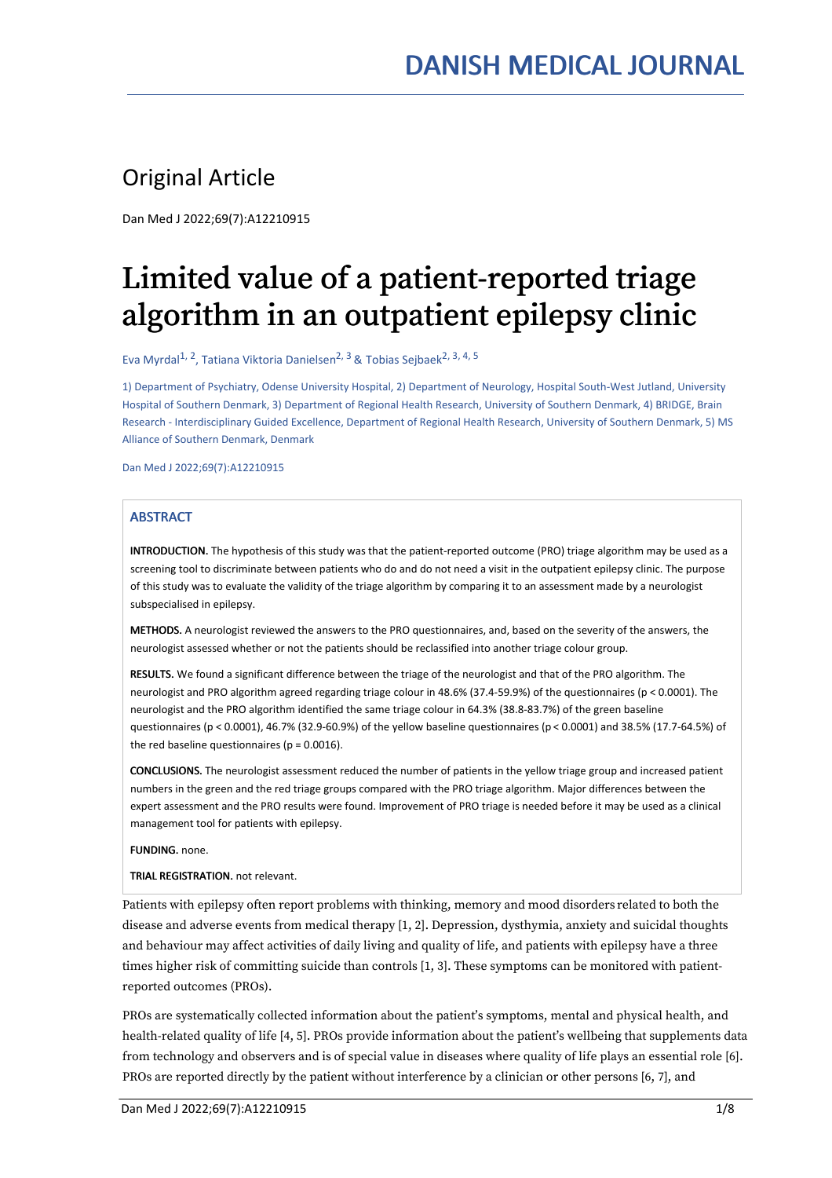### Original Article

Dan Med J 2022;69(7):A12210915

# Limited value of a patient-reported triage algorithm in an outpatient epilepsy clinic

Eva Myrdal<sup>1, 2</sup>, Tatiana Viktoria Danielsen<sup>2, 3</sup> & Tobias Sejbaek<sup>2, 3, 4, 5</sup>

1) Department of Psychiatry, Odense University Hospital, 2) Department of Neurology, Hospital South-West Jutland, University Hospital of Southern Denmark, 3) Department of Regional Health Research, University of Southern Denmark, 4) BRIDGE, Brain Research - Interdisciplinary Guided Excellence, Department of Regional Health Research, University of Southern Denmark, 5) MS Alliance of Southern Denmark, Denmark

Dan Med J 2022;69(7):A12210915

#### **ABSTRACT**

INTRODUCTION. The hypothesis of this study was that the patient-reported outcome (PRO) triage algorithm may be used as a screening tool to discriminate between patients who do and do not need a visit in the outpatient epilepsy clinic. The purpose of this study was to evaluate the validity of the triage algorithm by comparing it to an assessment made by a neurologist subspecialised in epilepsy.

METHODS. A neurologist reviewed the answers to the PRO questionnaires, and, based on the severity of the answers, the neurologist assessed whether or not the patients should be reclassified into another triage colour group.

RESULTS. We found a significant difference between the triage of the neurologist and that of the PRO algorithm. The neurologist and PRO algorithm agreed regarding triage colour in 48.6% (37.4-59.9%) of the questionnaires (p < 0.0001). The neurologist and the PRO algorithm identified the same triage colour in 64.3% (38.8-83.7%) of the green baseline questionnaires (p < 0.0001), 46.7% (32.9-60.9%) of the yellow baseline questionnaires (p < 0.0001) and 38.5% (17.7-64.5%) of the red baseline questionnaires ( $p = 0.0016$ ).

CONCLUSIONS. The neurologist assessment reduced the number of patients in the yellow triage group and increased patient numbers in the green and the red triage groups compared with the PRO triage algorithm. Major differences between the expert assessment and the PRO results were found. Improvement of PRO triage is needed before itmay be used as a clinical management tool for patients with epilepsy.

FUNDING. none.

TRIAL REGISTRATION. not relevant.

Patients with epilepsy often report problems with thinking, memory and mood disorders related to both the disease and adverse events from medical therapy [1, 2]. Depression, dysthymia, anxiety and suicidal thoughts and behaviour may affect activities of daily living and quality of life, and patients with epilepsy have a three times higher risk of committing suicide than controls [1, 3]. These symptoms can be monitored with patient reported outcomes (PROs).

PROs are systematically collected information about the patient's symptoms, mental and physical health, and health-related quality of life [4, 5]. PROs provide information about the patient's wellbeing that supplements data from technology and observers and is of special value in diseases where quality of life plays an essential role [6]. PROs are reported directly by the patient without interference by a clinician or other persons [6, 7], and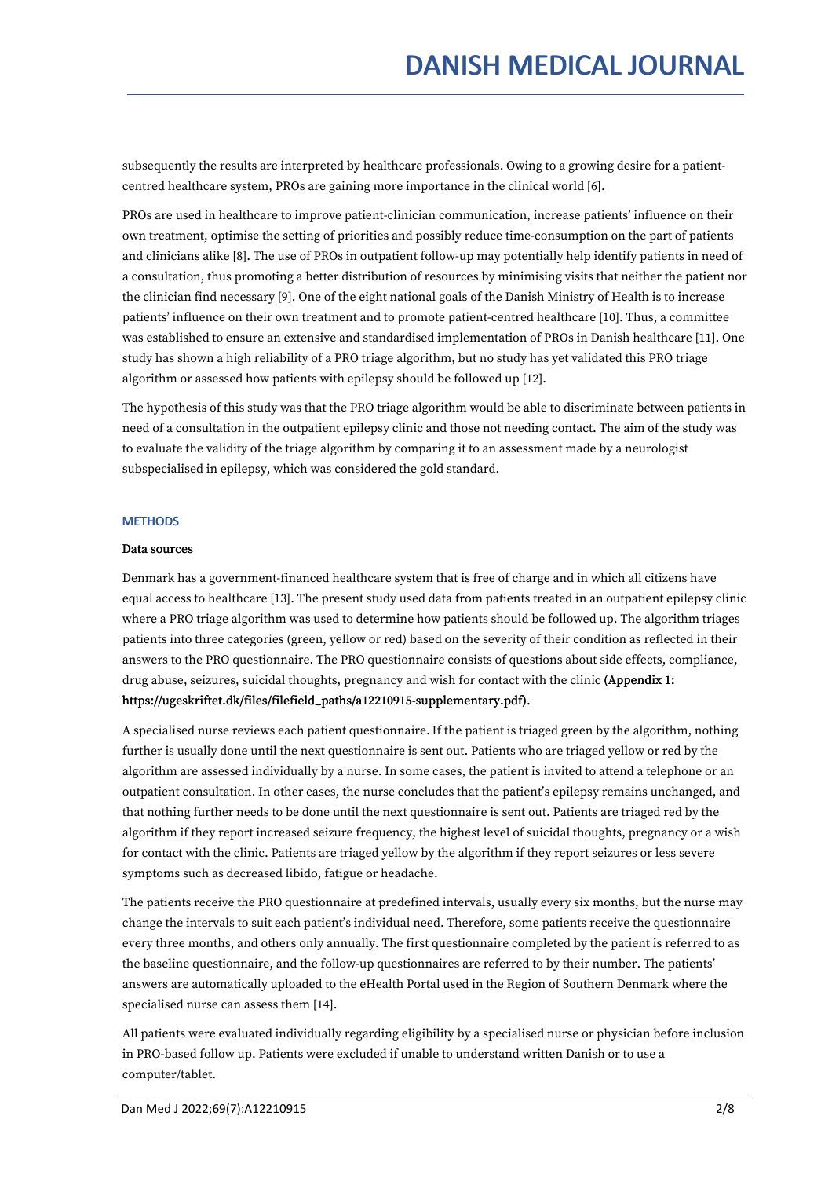subsequently the results are interpreted by healthcare professionals. Owing to a growing desire for a patient centred healthcare system, PROs are gaining more importance in the clinical world [6].

PROs are used in healthcare to improve patient-clinician communication, increase patients' influence on their own treatment, optimise the setting of priorities and possibly reduce time-consumption on the part of patients and clinicians alike [8]. The use of PROs in outpatient follow-up may potentially help identify patients in need of a consultation, thus promoting a better distribution of resources by minimising visits that neither the patient nor the clinician find necessary [9]. One of the eight national goals of the Danish Ministry of Health is to increase patients' influence on their own treatment and to promote patient-centred healthcare [10]. Thus, a committee was established to ensure an extensive and standardised implementation of PROs in Danish healthcare [11]. One study has shown a high reliability of a PRO triage algorithm, but no study has yet validated this PRO triage algorithm or assessed how patients with epilepsy should be followed up [12].

The hypothesis of this study was that the PRO triage algorithm would be able to discriminate between patients in need of a consultation in the outpatient epilepsy clinic and those not needing contact. The aim of the study was to evaluate the validity of the triage algorithm by comparing it to an assessment made by a neurologist subspecialised in epilepsy, which was considered the gold standard.

#### **METHODS**

#### Data sources

Denmark has a government-financed healthcare system that is free of charge and in which all citizens have equal access to healthcare [13]. The present study used data from patients treated in an outpatient epilepsy clinic where a PRO triage algorithm was used to determine how patients should be followed up. The algorithm triages patients into three categories (green, yellow or red) based on the severity of their condition as reflected in their answers to the PRO questionnaire. The PRO questionnaire consists of questions about side effects, compliance, drug abuse, seizures, suicidal thoughts, pregnancy and wish for contact with the clinic (Appendix 1: https://ugeskriftet.dk/files/filefield\_paths/a12210915-supplementary.pdf).

A specialised nurse reviews each patient questionnaire.If the patient is triaged green by the algorithm, nothing further is usually done until the next questionnaire is sent out. Patients who are triaged yellow or red by the algorithm are assessed individually by a nurse. In some cases, the patient is invited to attend a telephone or an outpatient consultation. In other cases, the nurse concludes that the patient's epilepsy remains unchanged, and that nothing further needs to be done until the next questionnaire is sent out. Patients are triaged red by the algorithm if they report increased seizure frequency, the highest level of suicidal thoughts, pregnancy or a wish for contact with the clinic. Patients are triaged yellow by the algorithm if they report seizures or less severe symptoms such as decreased libido, fatigue or headache.

The patients receive the PRO questionnaire at predefined intervals, usually every six months, but the nurse may change the intervals to suit each patient's individual need. Therefore, some patients receive the questionnaire every three months, and others only annually. The first questionnaire completed by the patient is referred to as the baseline questionnaire, and the follow-up questionnaires are referred to by their number. The patients' answers are automatically uploaded to the eHealth Portal used in the Region of Southern Denmark where the specialised nurse can assess them [14].

All patients were evaluated individually regarding eligibility by a specialised nurse or physician before inclusion in PRO-based follow up. Patients were excluded if unable to understand written Danish or to use a computer/tablet.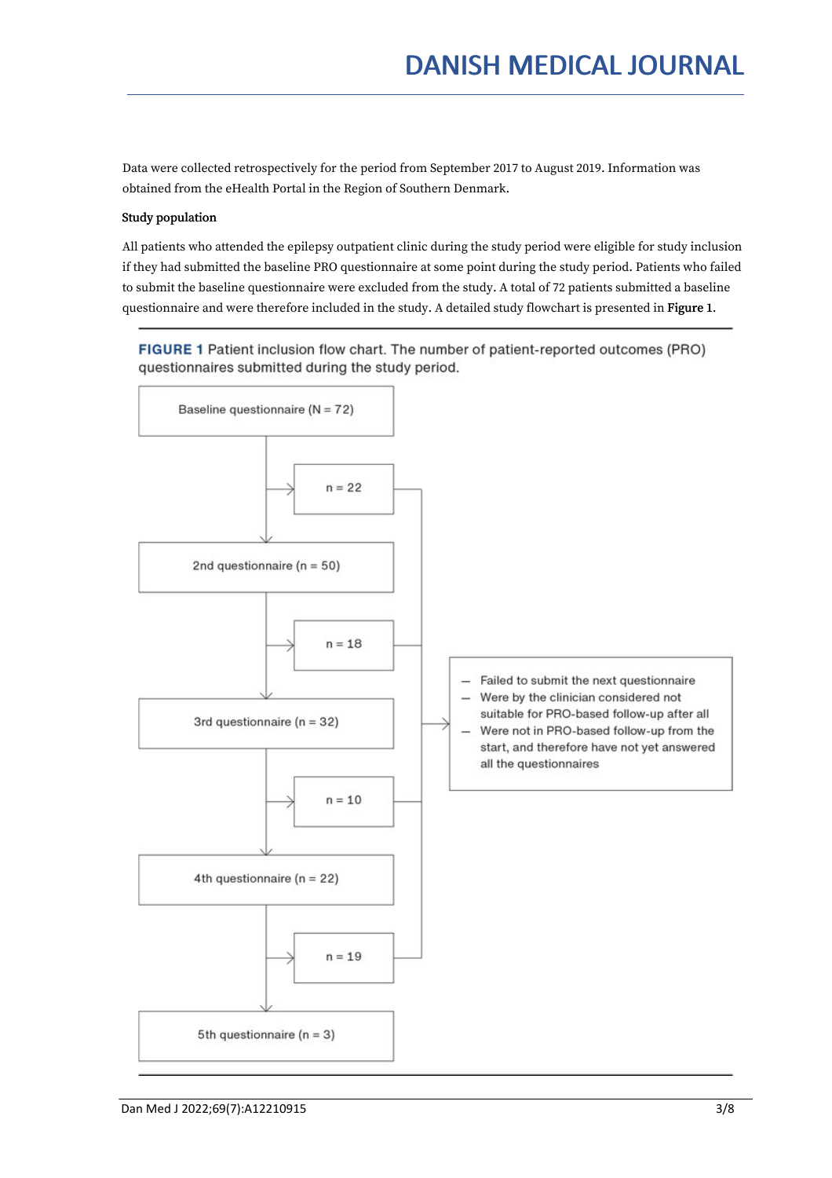Data were collected retrospectively for the period from September 2017 to August 2019. Information was obtained from the eHealth Portal in the Region of Southern Denmark.

#### Study population

All patients who attended the epilepsy outpatient clinic during the study period were eligible for study inclusion if they had submitted the baseline PRO questionnaire at some point during the study period. Patients who failed to submit the baseline questionnaire were excluded from the study. A total of 72 patients submitted a baseline questionnaire and were therefore included in the study. A detailed study flowchart is presented in Figure 1.

FIGURE 1 Patient inclusion flow chart. The number of patient-reported outcomes (PRO) questionnaires submitted during the study period.

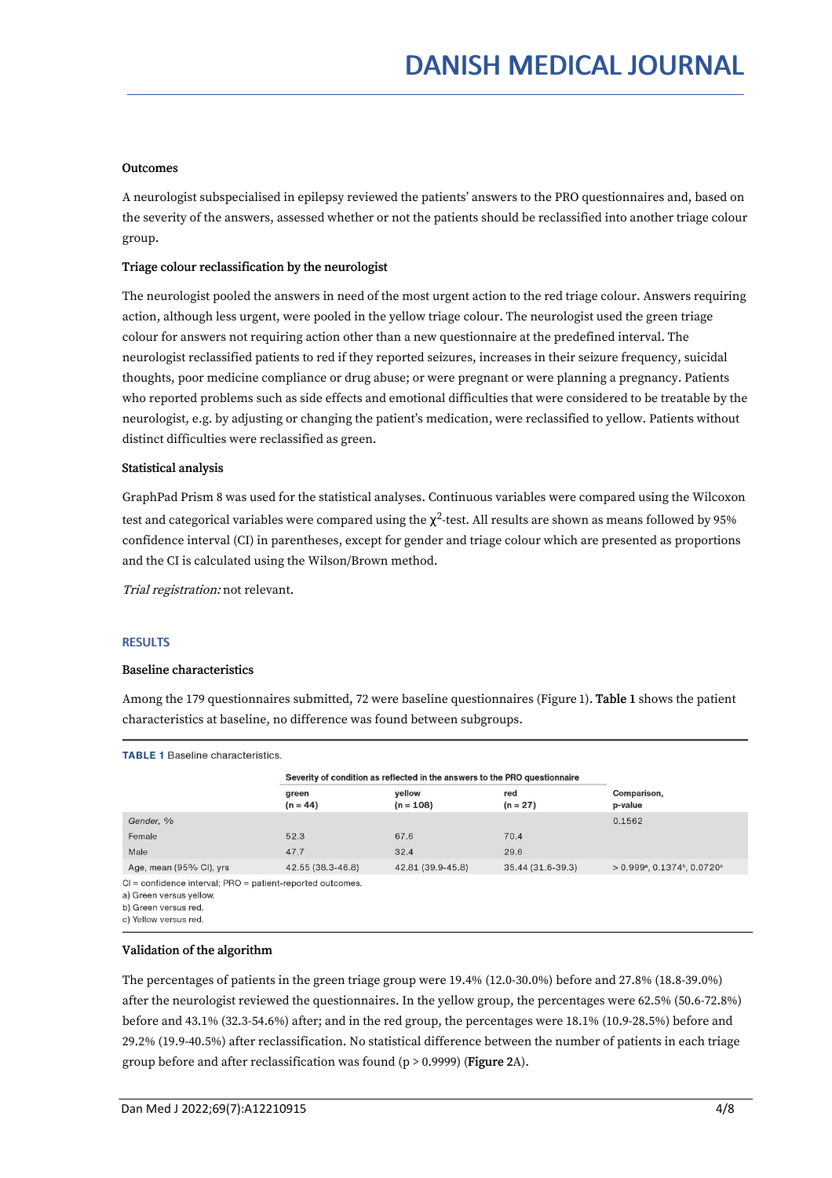#### **Outcomes**

A neurologist subspecialised in epilepsy reviewed the patients' answers to the PRO questionnaires and, based on the severity of the answers, assessed whether or not the patients should be reclassified into another triage colour group.

#### Triage colour reclassification by the neurologist

The neurologist pooled the answers in need of the most urgent action to the red triage colour. Answers requiring action, although less urgent, were pooled in the yellow triage colour. The neurologist used the green triage colour for answers not requiring action other than a new questionnaire at the predefined interval. The neurologist reclassified patients to red if they reported seizures, increases in their seizure frequency, suicidal thoughts, poor medicine compliance or drug abuse; or were pregnant or were planning a pregnancy. Patients who reported problems such as side effects and emotional difficulties that were considered to be treatable by the neurologist, e.g. by adjusting or changing the patient's medication, were reclassified to yellow. Patients without distinct difficulties were reclassified as green.

#### Statistical analysis

GraphPad Prism 8 was used for the statistical analyses. Continuous variables were compared using the Wilcoxon test and categorical variables were compared using the  $\chi^2$ -test. All results are shown as means followed by 95% confidence interval (CI) in parentheses, except for gender and triage colour which are presented as proportions and the CI is calculated using the Wilson/Brown method.

Trial registration: not relevant.

#### RESULTS

#### Baseline characteristics

Among the 179 questionnaires submitted, 72 were baseline questionnaires (Figure 1). Table 1 shows the patient characteristics at baseline, no difference was found between subgroups.

|                         | Severity of condition as reflected in the answers to the PRO questionnaire |                       |                   |                                                                        |
|-------------------------|----------------------------------------------------------------------------|-----------------------|-------------------|------------------------------------------------------------------------|
|                         | green<br>$(n = 44)$                                                        | vellow<br>$(n = 108)$ | red<br>$(n = 27)$ | Comparison,<br>p-value                                                 |
| Gender, %               |                                                                            |                       |                   | 0.1562                                                                 |
| Female                  | 52.3                                                                       | 67.6                  | 70.4              |                                                                        |
| Male                    | 47.7                                                                       | 32.4                  | 29.6              |                                                                        |
| Age, mean (95% CI), yrs | 42.55 (38.3-46.8)                                                          | 42.81 (39.9-45.8)     | 35.44 (31.6-39.3) | $> 0.999$ <sup>a</sup> , $0.1374$ <sup>b</sup> , $0.0720$ <sup>c</sup> |

a) Green versus yellow

b) Green versus red.

c) Yellow versus red.

#### Validation of the algorithm

The percentages of patients in the green triage group were 19.4% (12.0-30.0%) before and 27.8% (18.8-39.0%) after the neurologist reviewed the questionnaires. In the yellow group, the percentages were 62.5% (50.6-72.8%) before and 43.1% (32.3-54.6%) after; and in the red group, the percentages were 18.1% (10.9-28.5%) before and 29.2% (19.9-40.5%) after reclassification. No statistical difference between the number of patients in each triage group before and after reclassification was found (p > 0.9999) (Figure 2A).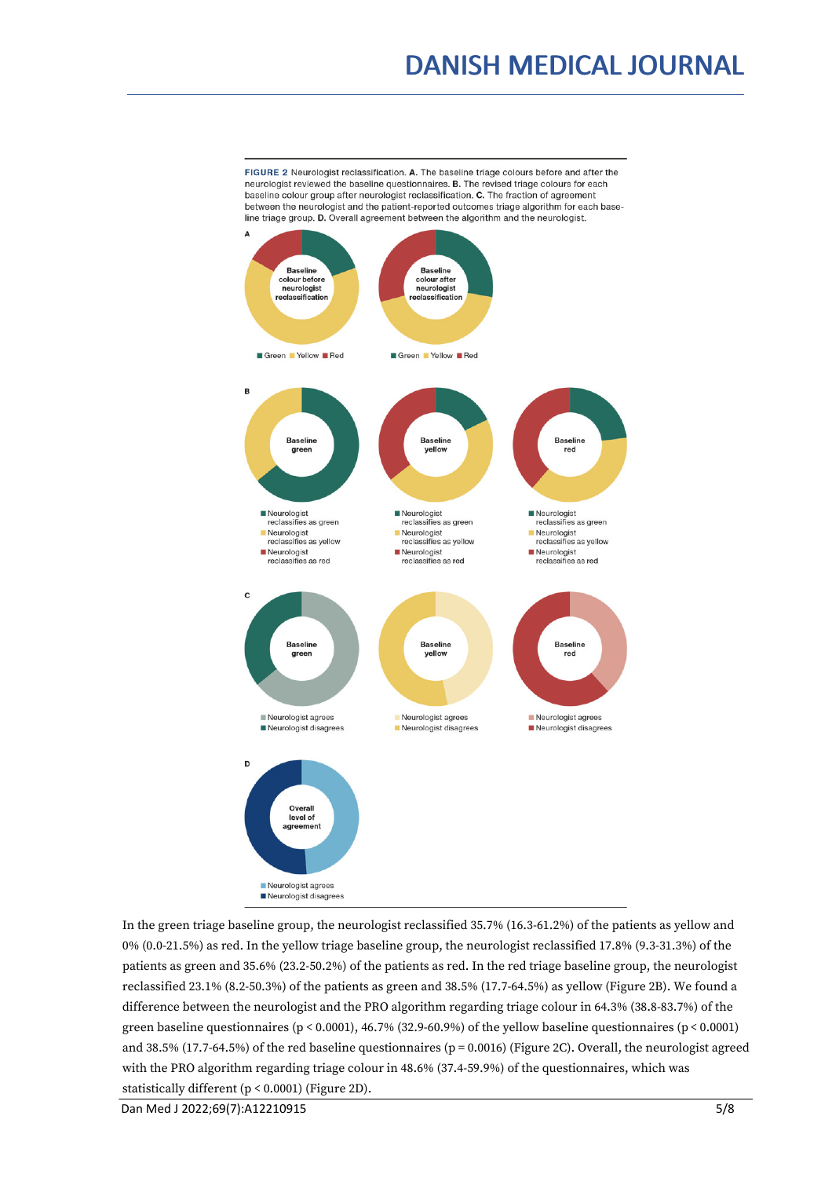## DANISH MEDICAL JOURNAL

FIGURE 2 Neurologist reclassification. A. The baseline triage colours before and after the neurologist reviewed the baseline questionnaires. B. The revised triage colours for each baseline colour group after neurologist reclassification. C. The fraction of agreement between the neurologist and the patient-reported outcomes triage algorithm for each baseline triage group. D. Overall agreement between the algorithm and the neurologist.



In the green triage baseline group, the neurologist reclassified 35.7% (16.3-61.2%) of the patients as yellow and 0% (0.0-21.5%) as red. In the yellow triage baseline group, the neurologist reclassified 17.8% (9.3-31.3%) of the patients as green and 35.6% (23.2-50.2%) of the patients as red. In the red triage baseline group, the neurologist reclassified 23.1% (8.2-50.3%) of the patients as green and 38.5% (17.7-64.5%) as yellow (Figure 2B). We found a difference between the neurologist and the PRO algorithm regarding triage colour in 64.3% (38.8-83.7%) of the green baseline questionnaires (p < 0.0001), 46.7% (32.9-60.9%) of the yellow baseline questionnaires (p < 0.0001) and 38.5% (17.7-64.5%) of the red baseline questionnaires ( $p = 0.0016$ ) (Figure 2C). Overall, the neurologist agreed with the PRO algorithm regarding triage colour in 48.6% (37.4-59.9%) of the questionnaires, which was statistically different (p < 0.0001) (Figure 2D).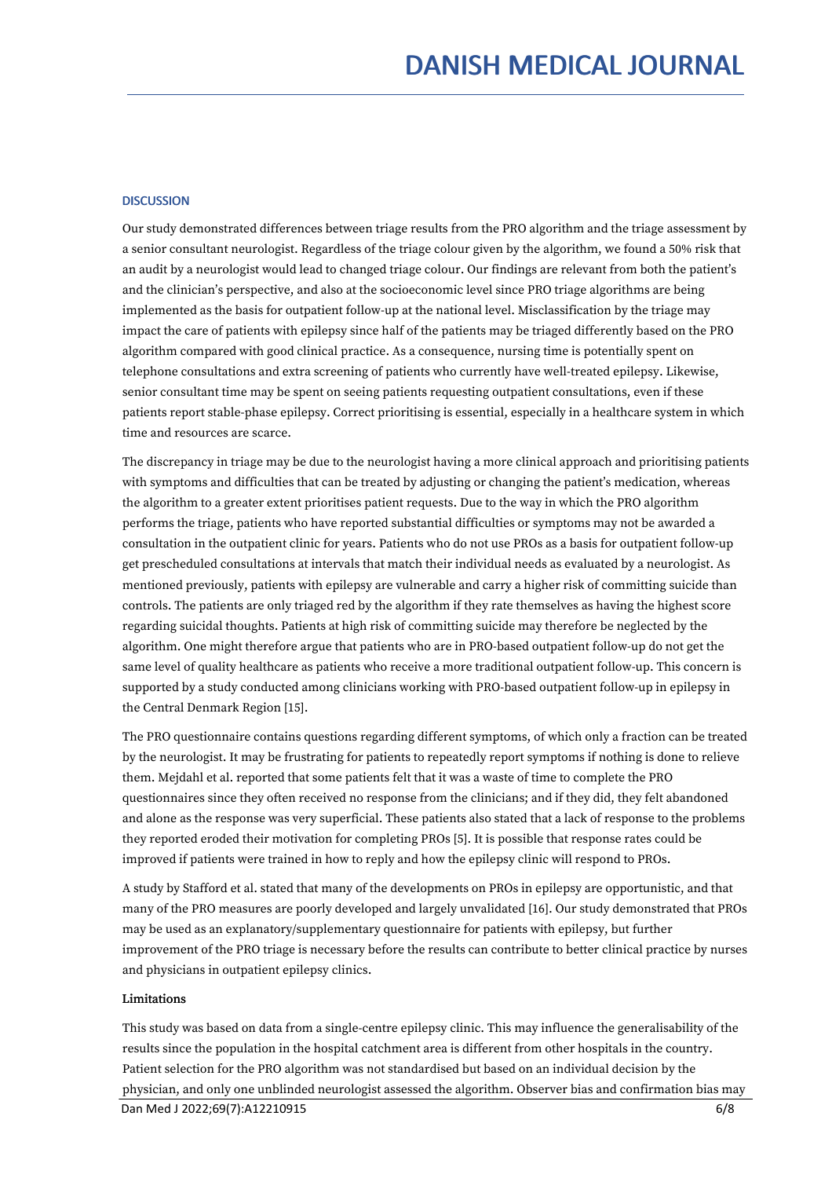#### **DISCUSSION**

Our study demonstrated differences between triage results from the PRO algorithm and the triage assessment by a senior consultant neurologist. Regardless of the triage colour given by the algorithm, we found a 50% risk that an audit by a neurologist would lead to changed triage colour. Our findings are relevant from both the patient's and the clinician's perspective, and also at the socioeconomic level since PRO triage algorithms are being implemented as the basis for outpatient follow-up at the national level. Misclassification by the triage may impact the care of patients with epilepsy since half of the patients may be triaged differently based on the PRO algorithm compared with good clinical practice. As a consequence, nursing time is potentially spent on telephone consultations and extra screening of patients who currently have well-treated epilepsy. Likewise, senior consultant time may be spent on seeing patients requesting outpatient consultations, even if these patients report stable-phase epilepsy. Correct prioritising is essential, especially in a healthcare system in which time and resources are scarce.

The discrepancy in triage may be due to the neurologist having a more clinical approach and prioritising patients with symptoms and difficulties that can be treated by adjusting or changing the patient's medication, whereas the algorithm to a greater extent prioritises patient requests. Due to the way in which the PRO algorithm performs the triage, patients who have reported substantial difficulties or symptoms may not be awarded a consultation in the outpatient clinic for years. Patients who do not use PROs as a basis for outpatient follow-up get prescheduled consultations at intervals that match their individual needs as evaluated by a neurologist. As mentioned previously, patients with epilepsy are vulnerable and carry a higher risk of committing suicide than controls. The patients are only triaged red by the algorithm if they rate themselves as having the highest score regarding suicidal thoughts. Patients at high risk of committing suicide may therefore be neglected by the algorithm. One might therefore argue that patients who are in PRO-based outpatient follow-up do not get the same level of quality healthcare as patients who receive a more traditional outpatient follow-up. This concern is supported by a study conducted among clinicians working with PRO-based outpatient follow-up in epilepsy in the Central Denmark Region [15].

The PRO questionnaire contains questions regarding different symptoms, of which only a fraction can be treated by the neurologist. It may be frustrating for patients to repeatedly report symptoms if nothing is done to relieve them. Mejdahl et al. reported that some patients felt that it was a waste of time to complete the PRO questionnaires since they often received no response from the clinicians; and if they did, they felt abandoned and alone as the response was very superficial. These patients also stated that a lack of response to the problems they reported eroded their motivation for completing PROs [5]. It is possible that response rates could be improved if patients were trained in how toreply and how the epilepsy clinic will respond to PROs.

A study by Stafford et al. stated that many of the developments on PROs in epilepsy are opportunistic, and that many of the PRO measures are poorly developed and largely unvalidated [16]. Our study demonstrated that PROs may be used as an explanatory/supplementary questionnaire for patients with epilepsy, but further improvement of the PRO triage is necessary before the results can contribute to better clinical practice by nurses and physicians in outpatient epilepsy clinics.

#### Limitations

This study was based on data from a single-centre epilepsy clinic. This may influence the generalisability of the results since the population in the hospital catchment area is different from other hospitals in the country. Patient selection for the PRO algorithm was not standardised but based on an individual decision by the physician, and only one unblinded neurologist assessed the algorithm. Observer bias and confirmation bias may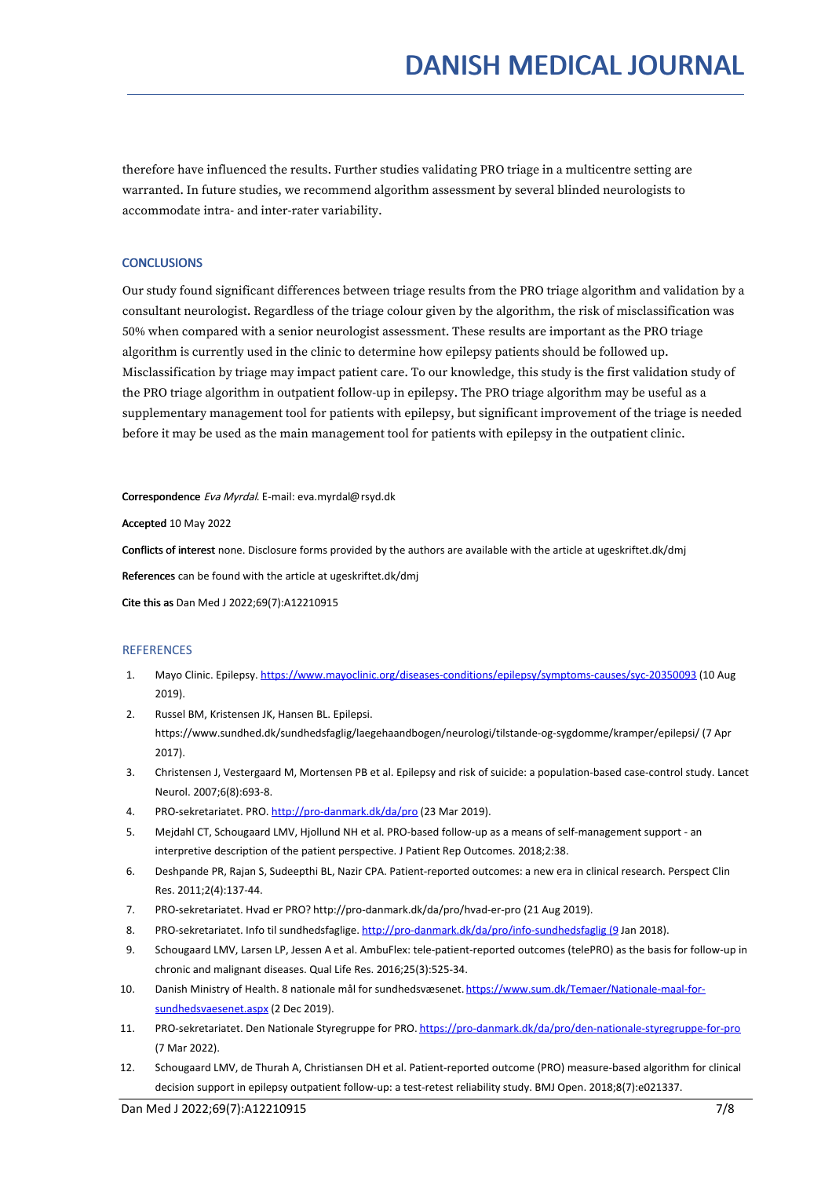therefore have influenced the results. Further studies validating PRO triage in a multicentre setting are warranted. In future studies, we recommend algorithm assessment by several blinded neurologists to accommodate intra- and inter-rater variability.

#### **CONCLUSIONS**

Our study found significant differences between triage results from the PRO triage algorithm and validation by a consultant neurologist. Regardless of the triage colour given by the algorithm, the risk of misclassification was 50% when compared with a senior neurologist assessment. These results are important as the PRO triage algorithm is currently used in the clinic to determine how epilepsy patients should be followed up. Misclassification by triage may impact patient care. To our knowledge, this study is the first validation study of the PRO triage algorithm in outpatient follow-up in epilepsy. The PRO triage algorithm may be useful as a supplementary management tool for patients with epilepsy, but significant improvement of the triage is needed before it may be used as the main management tool for patients with epilepsy in the outpatient clinic.

Correspondence Eva Myrdal. E-mail: eva.myrdal@rsyd.dk

Accepted 10 May 2022

Conflicts of interest none. Disclosure forms provided by the authors are available with the article at ugeskriftet.dk/dmj

References can be found with the article at ugeskriftet.dk/dmj

Cite this as Dan Med J 2022;69(7):A12210915

#### **REFERENCES**

- 1. Mayo Clinic. Epilepsy. <https://www.mayoclinic.org/diseases-conditions/epilepsy/symptoms-causes/syc-20350093> (10 Aug 2019).
- 2. Russel BM, Kristensen JK, Hansen BL. Epilepsi. https://www.sundhed.dk/sundhedsfaglig/laegehaandbogen/neurologi/tilstande-og-sygdomme/kramper/epilepsi/ (7 Apr 2017).
- 3. Christensen J, Vestergaard M,Mortensen PB etal. Epilepsy and risk of suicide: a population-based case-control study. Lancet Neurol. 2007;6(8):693-8.
- 4. PRO-sekretariatet. PRO. <http://pro-danmark.dk/da/pro> (23 Mar 2019).
- 5. Mejdahl CT, Schougaard LMV, Hjollund NH et al. PRO-based follow-up as a means of self-management support an interpretive description of the patient perspective. J Patient Rep Outcomes. 2018;2:38.
- 6. Deshpande PR, Rajan S, Sudeepthi BL, Nazir CPA. Patient-reported outcomes: a new era in clinical research. Perspect Clin Res. 2011;2(4):137-44.
- 7. PRO-sekretariatet. Hvad er PRO? http://pro-danmark.dk/da/pro/hvad-er-pro (21 Aug 2019).
- 8. PRO-sekretariatet. Info til sundhedsfaglige. [http://pro-danmark.dk/da/pro/info-sundhedsfaglig](http://pro-danmark.dk/da/pro/info-sundhedsfaglig%20(9) (9 Jan 2018).
- 9. Schougaard LMV, Larsen LP, Jessen A et al. AmbuFlex: tele-patient-reported outcomes (telePRO) as the basis for follow-up in chronic and malignant diseases. Qual Life Res. 2016;25(3):525-34.
- 10. Danish Ministry of Health. 8 nationale mål for sundhedsvæsenet. [https://www.sum.dk/Temaer/Nationale-maal-for](https://www.sum.dk/Temaer/Nationale-maal-for-sundhedsvaesenet.aspx%20(4) sundhedsvaesenet.aspx (2 Dec 2019).
- 11. PRO-sekretariatet. Den Nationale Styregruppe for PRO. [https://pro-danmark.dk/da/pro/den-nationale-styregruppe-for-pro](https://pro-danmark.dk/da/pro/den-nationale-styregruppe-for-pro%20) (7 Mar 2022).
- 12. Schougaard LMV, de Thurah A, Christiansen DH et al. Patient-reported outcome (PRO) measure-based algorithm for clinical decision support in epilepsy outpatient follow-up: a test-retest reliability study. BMJ Open. 2018;8(7):e021337.